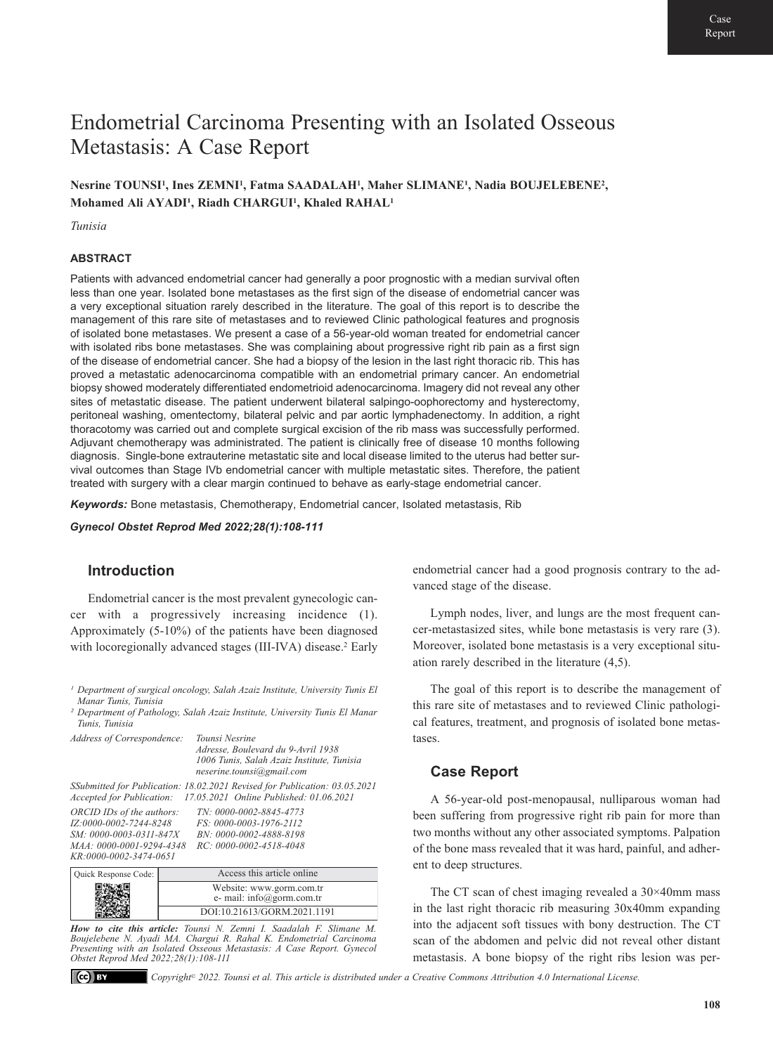# Endometrial Carcinoma Presenting with an Isolated Osseous Metastasis: A Case Report

Nesrine TOUNSI<sup>1</sup>, Ines ZEMNI<sup>1</sup>, Fatma SAADALAH<sup>1</sup>, Maher SLIMANE<sup>1</sup>, Nadia BOUJELEBENE<sup>2</sup>, Mohamed Ali AYADI<sup>1</sup>, Riadh CHARGUI<sup>1</sup>, Khaled RAHAL<sup>1</sup>

*Tunisia* 

#### **ABSTRACT**

Patients with advanced endometrial cancer had generally a poor prognostic with a median survival often less than one year. Isolated bone metastases as the first sign of the disease of endometrial cancer was a very exceptional situation rarely described in the literature. The goal of this report is to describe the management of this rare site of metastases and to reviewed Clinic pathological features and prognosis of isolated bone metastases. We present a case of a 56-year-old woman treated for endometrial cancer with isolated ribs bone metastases. She was complaining about progressive right rib pain as a first sign of the disease of endometrial cancer. She had a biopsy of the lesion in the last right thoracic rib. This has proved a metastatic adenocarcinoma compatible with an endometrial primary cancer. An endometrial biopsy showed moderately differentiated endometrioid adenocarcinoma. Imagery did not reveal any other sites of metastatic disease. The patient underwent bilateral salpingo-oophorectomy and hysterectomy, peritoneal washing, omentectomy, bilateral pelvic and par aortic lymphadenectomy. In addition, a right thoracotomy was carried out and complete surgical excision of the rib mass was successfully performed. Adjuvant chemotherapy was administrated. The patient is clinically free of disease 10 months following diagnosis. Single-bone extrauterine metastatic site and local disease limited to the uterus had better survival outcomes than Stage IVb endometrial cancer with multiple metastatic sites. Therefore, the patient treated with surgery with a clear margin continued to behave as early-stage endometrial cancer.

*Keywords:* Bone metastasis, Chemotherapy, Endometrial cancer, Isolated metastasis, Rib

*Gynecol Obstet Reprod Med 2022;28(1):108-111*

## **Introduction**

Endometrial cancer is the most prevalent gynecologic cancer with a progressively increasing incidence (1). Approximately (5-10%) of the patients have been diagnosed with locoregionally advanced stages (III-IVA) disease.<sup>2</sup> Early

*² Department of Pathology, Salah Azaiz Institute, University Tunis El Manar Tunis, Tunisia* 

| Address of Correspondence: | Tounsi Nesrine                                                             |
|----------------------------|----------------------------------------------------------------------------|
|                            | Adresse, Boulevard du 9-Avril 1938                                         |
|                            | 1006 Tunis, Salah Azaiz Institute, Tunisia                                 |
|                            | neserine.tounsi@gmail.com                                                  |
|                            | SSubmitted for Publication: 18.02.2021 Revised for Publication: 03.05.2021 |
|                            | Accepted for Publication: 17.05.2021 Online Published: 01.06.2021          |
| ORCID IDs of the authors:  | TN: 0000-0002-8845-4773                                                    |
| IZ:0000-0002-7244-8248     | FS: 0000-0003-1976-2112                                                    |
| SM: 0000-0003-0311-847X    | BN: 0000-0002-4888-8198                                                    |
| MAA: 0000-0001-9294-4348   | RC: 0000-0002-4518-4048                                                    |
| KR:0000-0002-3474-0651     |                                                                            |
|                            |                                                                            |

| Quick Response Code: | Access this article online                            |
|----------------------|-------------------------------------------------------|
|                      | Website: www.gorm.com.tr<br>e- mail: info@gorm.com.tr |
|                      | DOI:10.21613/GORM.2021.1191                           |

*How to cite this article: Tounsi N. Zemni I. Saadalah F. Slimane M. Boujelebene N. Ayadi MA. Chargui R. Rahal K. Endometrial Carcinoma Presenting with an Isolated Osseous Metastasis: A Case Report. Gynecol Obstet Reprod Med 2022;28(1):108-111*

 $\left($ ce $\right)$  EY

*Copyright© 2022. Tounsi et al. This article is distributed under a Creative Commons Attribution 4.0 International License.*

endometrial cancer had a good prognosis contrary to the advanced stage of the disease.

Lymph nodes, liver, and lungs are the most frequent cancer-metastasized sites, while bone metastasis is very rare (3). Moreover, isolated bone metastasis is a very exceptional situation rarely described in the literature (4,5).

The goal of this report is to describe the management of this rare site of metastases and to reviewed Clinic pathological features, treatment, and prognosis of isolated bone metastases.

## **Case Report**

A 56-year-old post-menopausal, nulliparous woman had been suffering from progressive right rib pain for more than two months without any other associated symptoms. Palpation of the bone mass revealed that it was hard, painful, and adherent to deep structures.

The CT scan of chest imaging revealed a 30×40mm mass in the last right thoracic rib measuring 30x40mm expanding into the adjacent soft tissues with bony destruction. The CT scan of the abdomen and pelvic did not reveal other distant metastasis. A bone biopsy of the right ribs lesion was per-

<sup>&</sup>lt;sup>1</sup> Department of surgical oncology, Salah Azaiz Institute, University Tunis El *Manar Tunis, Tunisia*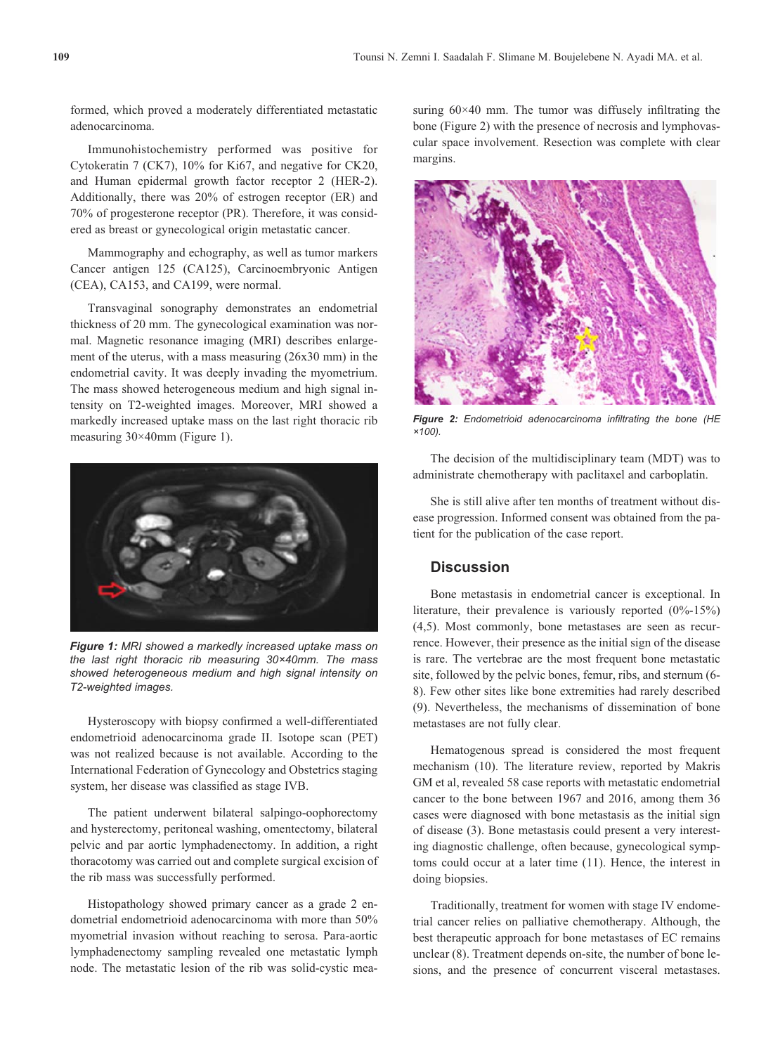formed, which proved a moderately differentiated metastatic adenocarcinoma.

Immunohistochemistry performed was positive for Cytokeratin 7 (CK7), 10% for Ki67, and negative for CK20, and Human epidermal growth factor receptor 2 (HER-2). Additionally, there was 20% of estrogen receptor (ER) and 70% of progesterone receptor (PR). Therefore, it was considered as breast or gynecological origin metastatic cancer.

Mammography and echography, as well as tumor markers Cancer antigen 125 (CA125), Carcinoembryonic Antigen (CEA), CA153, and CA199, were normal.

Transvaginal sonography demonstrates an endometrial thickness of 20 mm. The gynecological examination was normal. Magnetic resonance imaging (MRI) describes enlargement of the uterus, with a mass measuring (26x30 mm) in the endometrial cavity. It was deeply invading the myometrium. The mass showed heterogeneous medium and high signal intensity on T2-weighted images. Moreover, MRI showed a markedly increased uptake mass on the last right thoracic rib measuring 30×40mm (Figure 1).



*Figure 1: MRI showed a markedly increased uptake mass on the last right thoracic rib measuring 30×40mm. The mass showed heterogeneous medium and high signal intensity on T2-weighted images.*

Hysteroscopy with biopsy confirmed a well-differentiated endometrioid adenocarcinoma grade II. Isotope scan (PET) was not realized because is not available. According to the International Federation of Gynecology and Obstetrics staging system, her disease was classified as stage IVB.

The patient underwent bilateral salpingo-oophorectomy and hysterectomy, peritoneal washing, omentectomy, bilateral pelvic and par aortic lymphadenectomy. In addition, a right thoracotomy was carried out and complete surgical excision of the rib mass was successfully performed.

Histopathology showed primary cancer as a grade 2 endometrial endometrioid adenocarcinoma with more than 50% myometrial invasion without reaching to serosa. Para-aortic lymphadenectomy sampling revealed one metastatic lymph node. The metastatic lesion of the rib was solid-cystic measuring 60×40 mm. The tumor was diffusely infiltrating the bone (Figure 2) with the presence of necrosis and lymphovascular space involvement. Resection was complete with clear margins.



*Figure 2: Endometrioid adenocarcinoma infiltrating the bone (HE ×100).*

The decision of the multidisciplinary team (MDT) was to administrate chemotherapy with paclitaxel and carboplatin.

She is still alive after ten months of treatment without disease progression. Informed consent was obtained from the patient for the publication of the case report.

## **Discussion**

Bone metastasis in endometrial cancer is exceptional. In literature, their prevalence is variously reported (0%-15%) (4,5). Most commonly, bone metastases are seen as recurrence. However, their presence as the initial sign of the disease is rare. The vertebrae are the most frequent bone metastatic site, followed by the pelvic bones, femur, ribs, and sternum (6- 8). Few other sites like bone extremities had rarely described (9). Nevertheless, the mechanisms of dissemination of bone metastases are not fully clear.

Hematogenous spread is considered the most frequent mechanism (10). The literature review, reported by Makris GM et al, revealed 58 case reports with metastatic endometrial cancer to the bone between 1967 and 2016, among them 36 cases were diagnosed with bone metastasis as the initial sign of disease (3). Bone metastasis could present a very interesting diagnostic challenge, often because, gynecological symptoms could occur at a later time (11). Hence, the interest in doing biopsies.

Traditionally, treatment for women with stage IV endometrial cancer relies on palliative chemotherapy. Although, the best therapeutic approach for bone metastases of EC remains unclear (8). Treatment depends on-site, the number of bone lesions, and the presence of concurrent visceral metastases.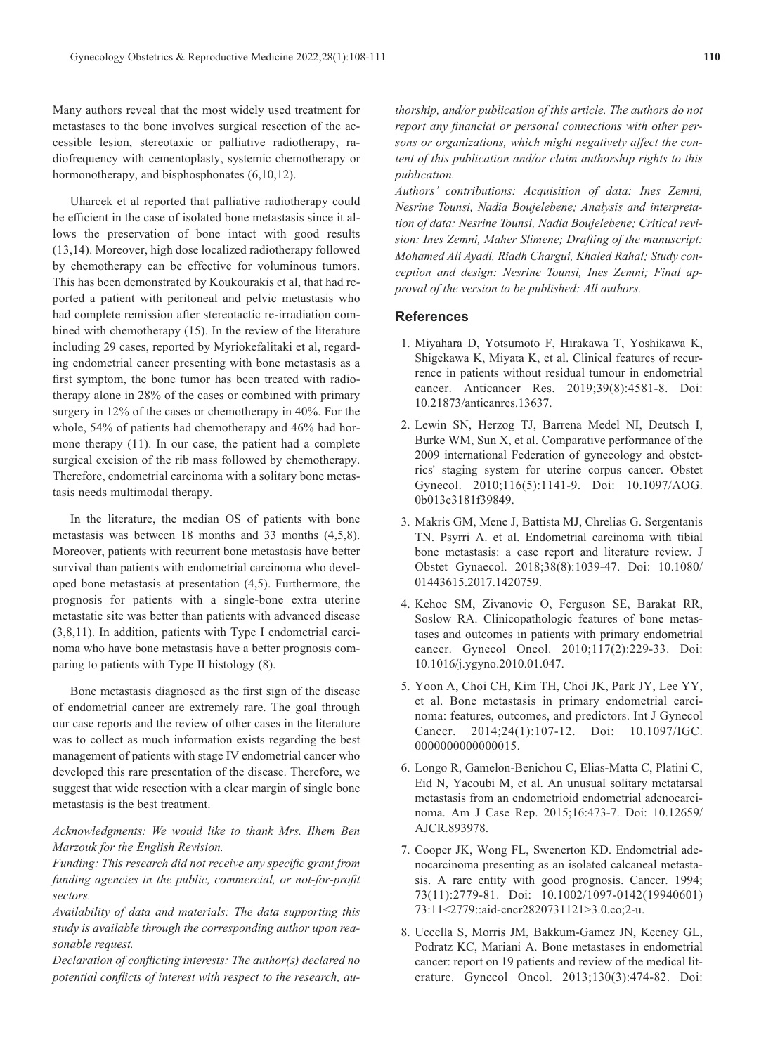Many authors reveal that the most widely used treatment for metastases to the bone involves surgical resection of the accessible lesion, stereotaxic or palliative radiotherapy, radiofrequency with cementoplasty, systemic chemotherapy or hormonotherapy, and bisphosphonates (6,10,12).

Uharcek et al reported that palliative radiotherapy could be efficient in the case of isolated bone metastasis since it allows the preservation of bone intact with good results (13,14). Moreover, high dose localized radiotherapy followed by chemotherapy can be effective for voluminous tumors. This has been demonstrated by Koukourakis et al, that had reported a patient with peritoneal and pelvic metastasis who had complete remission after stereotactic re-irradiation combined with chemotherapy (15). In the review of the literature including 29 cases, reported by Myriokefalitaki et al, regarding endometrial cancer presenting with bone metastasis as a first symptom, the bone tumor has been treated with radiotherapy alone in 28% of the cases or combined with primary surgery in 12% of the cases or chemotherapy in 40%. For the whole, 54% of patients had chemotherapy and 46% had hormone therapy (11). In our case, the patient had a complete surgical excision of the rib mass followed by chemotherapy. Therefore, endometrial carcinoma with a solitary bone metastasis needs multimodal therapy.

In the literature, the median OS of patients with bone metastasis was between 18 months and 33 months (4,5,8). Moreover, patients with recurrent bone metastasis have better survival than patients with endometrial carcinoma who developed bone metastasis at presentation (4,5). Furthermore, the prognosis for patients with a single-bone extra uterine metastatic site was better than patients with advanced disease (3,8,11). In addition, patients with Type I endometrial carcinoma who have bone metastasis have a better prognosis comparing to patients with Type II histology (8).

Bone metastasis diagnosed as the first sign of the disease of endometrial cancer are extremely rare. The goal through our case reports and the review of other cases in the literature was to collect as much information exists regarding the best management of patients with stage IV endometrial cancer who developed this rare presentation of the disease. Therefore, we suggest that wide resection with a clear margin of single bone metastasis is the best treatment.

### *Acknowledgments: We would like to thank Mrs. Ilhem Ben Marzouk for the English Revision.*

*Funding: This research did not receive any specific grant from funding agencies in the public, commercial, or not-for-profit sectors.* 

*Availability of data and materials: The data supporting this study is available through the corresponding author upon reasonable request.* 

*Declaration of conflicting interests: The author(s) declared no potential conflicts of interest with respect to the research, au-* *thorship, and/or publication of this article. The authors do not report any financial or personal connections with other persons or organizations, which might negatively affect the content of this publication and/or claim authorship rights to this publication.* 

*Authors' contributions: Acquisition of data: Ines Zemni, Nesrine Tounsi, Nadia Boujelebene; Analysis and interpretation of data: Nesrine Tounsi, Nadia Boujelebene; Critical revision: Ines Zemni, Maher Slimene; Drafting of the manuscript: Mohamed Ali Ayadi, Riadh Chargui, Khaled Rahal; Study conception and design: Nesrine Tounsi, Ines Zemni; Final approval of the version to be published: All authors.*

#### **References**

- 1. Miyahara D, Yotsumoto F, Hirakawa T, Yoshikawa K, Shigekawa K, Miyata K, et al. Clinical features of recurrence in patients without residual tumour in endometrial cancer. Anticancer Res. 2019;39(8):4581-8. Doi: 10.21873/anticanres.13637.
- 2. Lewin SN, Herzog TJ, Barrena Medel NI, Deutsch I, Burke WM, Sun X, et al. Comparative performance of the 2009 international Federation of gynecology and obstetrics' staging system for uterine corpus cancer. Obstet Gynecol. 2010;116(5):1141-9. Doi: 10.1097/AOG. 0b013e3181f39849.
- 3. Makris GM, Mene J, Battista MJ, Chrelias G. Sergentanis TN. Psyrri A. et al. Endometrial carcinoma with tibial bone metastasis: a case report and literature review. J Obstet Gynaecol. 2018;38(8):1039-47. Doi: 10.1080/ 01443615.2017.1420759.
- 4. Kehoe SM, Zivanovic O, Ferguson SE, Barakat RR, Soslow RA. Clinicopathologic features of bone metastases and outcomes in patients with primary endometrial cancer. Gynecol Oncol. 2010;117(2):229-33. Doi: 10.1016/j.ygyno.2010.01.047.
- 5. Yoon A, Choi CH, Kim TH, Choi JK, Park JY, Lee YY, et al. Bone metastasis in primary endometrial carcinoma: features, outcomes, and predictors. Int J Gynecol Cancer. 2014;24(1):107-12. Doi: 10.1097/IGC. 0000000000000015.
- 6. Longo R, Gamelon-Benichou C, Elias-Matta C, Platini C, Eid N, Yacoubi M, et al. An unusual solitary metatarsal metastasis from an endometrioid endometrial adenocarcinoma. Am J Case Rep. 2015;16:473-7. Doi: 10.12659/ AJCR.893978.
- 7. Cooper JK, Wong FL, Swenerton KD. Endometrial adenocarcinoma presenting as an isolated calcaneal metastasis. A rare entity with good prognosis. Cancer. 1994; 73(11):2779-81. Doi: 10.1002/1097-0142(19940601) 73:11<2779::aid-cncr2820731121>3.0.co;2-u.
- 8. Uccella S, Morris JM, Bakkum-Gamez JN, Keeney GL, Podratz KC, Mariani A. Bone metastases in endometrial cancer: report on 19 patients and review of the medical literature. Gynecol Oncol. 2013;130(3):474-82. Doi: